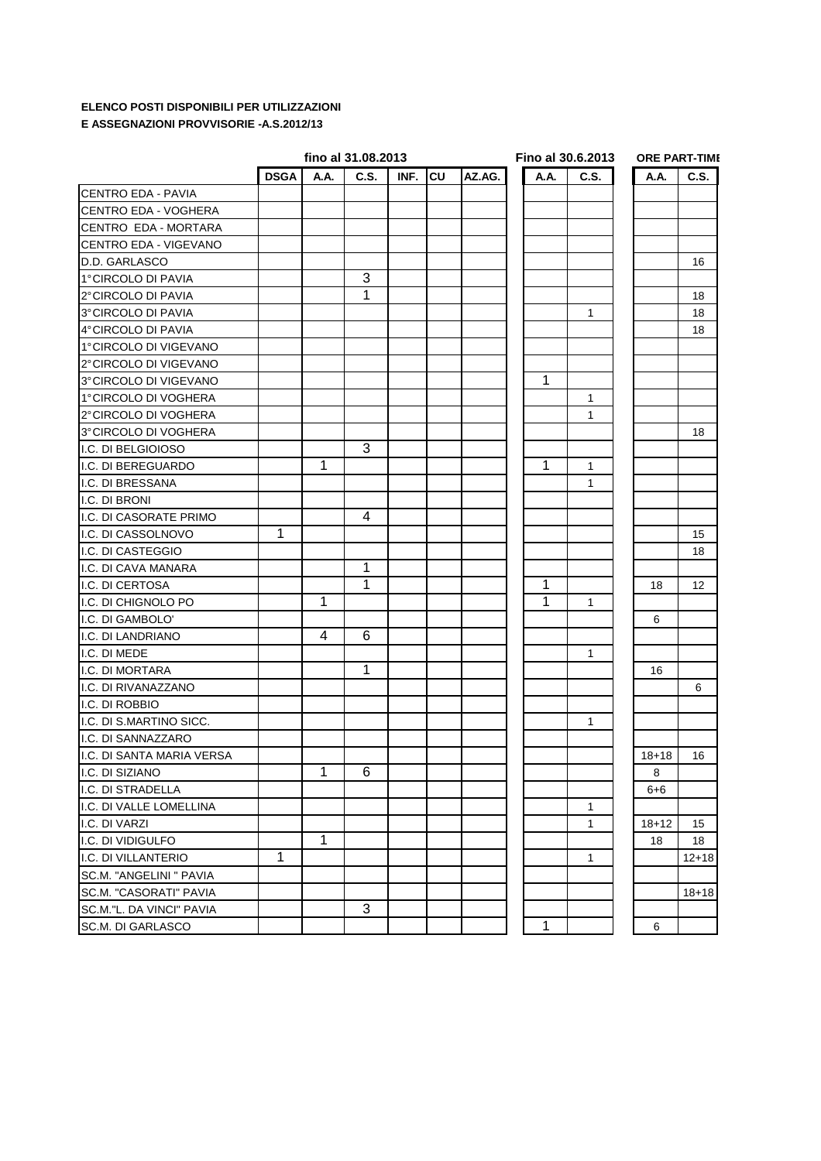## **ELENCO POSTI DISPONIBILI PER UTILIZZAZIONI E ASSEGNAZIONI PROVVISORIE -A.S.2012/13**

|                            |             |             | fino al 31.08.2013 |      |    |        |              | Fino al 30.6.2013 | <b>ORE PART-TIME</b> |                   |  |
|----------------------------|-------------|-------------|--------------------|------|----|--------|--------------|-------------------|----------------------|-------------------|--|
|                            | <b>DSGA</b> | A.A.        | C.S.               | INF. | CU | AZ.AG. | A.A.         | C.S.              | A.A.                 | C.S.              |  |
| <b>CENTRO EDA - PAVIA</b>  |             |             |                    |      |    |        |              |                   |                      |                   |  |
| CENTRO EDA - VOGHERA       |             |             |                    |      |    |        |              |                   |                      |                   |  |
| CENTRO EDA - MORTARA       |             |             |                    |      |    |        |              |                   |                      |                   |  |
| CENTRO EDA - VIGEVANO      |             |             |                    |      |    |        |              |                   |                      |                   |  |
| D.D. GARLASCO              |             |             |                    |      |    |        |              |                   |                      | 16                |  |
| 1°CIRCOLO DI PAVIA         |             |             | 3                  |      |    |        |              |                   |                      |                   |  |
| 2° CIRCOLO DI PAVIA        |             |             | 1                  |      |    |        |              |                   |                      | 18                |  |
| 3°CIRCOLO DI PAVIA         |             |             |                    |      |    |        |              | 1                 |                      | 18                |  |
| 4°CIRCOLO DI PAVIA         |             |             |                    |      |    |        |              |                   |                      | 18                |  |
| 1°CIRCOLO DI VIGEVANO      |             |             |                    |      |    |        |              |                   |                      |                   |  |
| 2°CIRCOLO DI VIGEVANO      |             |             |                    |      |    |        |              |                   |                      |                   |  |
| 3°CIRCOLO DI VIGEVANO      |             |             |                    |      |    |        | $\mathbf{1}$ |                   |                      |                   |  |
| 1°CIRCOLO DI VOGHERA       |             |             |                    |      |    |        |              | 1                 |                      |                   |  |
| 2°CIRCOLO DI VOGHERA       |             |             |                    |      |    |        |              | 1                 |                      |                   |  |
| 3°CIRCOLO DI VOGHERA       |             |             |                    |      |    |        |              |                   |                      | 18                |  |
| I.C. DI BELGIOIOSO         |             |             | 3                  |      |    |        |              |                   |                      |                   |  |
| I.C. DI BEREGUARDO         |             | 1           |                    |      |    |        | $\mathbf{1}$ | 1                 |                      |                   |  |
| I.C. DI BRESSANA           |             |             |                    |      |    |        |              | 1                 |                      |                   |  |
| I.C. DI BRONI              |             |             |                    |      |    |        |              |                   |                      |                   |  |
| I.C. DI CASORATE PRIMO     |             |             | 4                  |      |    |        |              |                   |                      |                   |  |
| I.C. DI CASSOLNOVO         | 1           |             |                    |      |    |        |              |                   |                      | 15                |  |
| I.C. DI CASTEGGIO          |             |             |                    |      |    |        |              |                   |                      | 18                |  |
| I.C. DI CAVA MANARA        |             |             | 1                  |      |    |        |              |                   |                      |                   |  |
| I.C. DI CERTOSA            |             |             | 1                  |      |    |        | 1            |                   | 18                   | $12 \overline{ }$ |  |
| I.C. DI CHIGNOLO PO        |             | 1           |                    |      |    |        | 1            | 1                 |                      |                   |  |
| I.C. DI GAMBOLO'           |             |             |                    |      |    |        |              |                   | 6                    |                   |  |
| I.C. DI LANDRIANO          |             | 4           | 6                  |      |    |        |              |                   |                      |                   |  |
| I.C. DI MEDE               |             |             |                    |      |    |        |              | $\mathbf{1}$      |                      |                   |  |
| I.C. DI MORTARA            |             |             | $\mathbf{1}$       |      |    |        |              |                   | 16                   |                   |  |
| I.C. DI RIVANAZZANO        |             |             |                    |      |    |        |              |                   |                      | 6                 |  |
| I.C. DI ROBBIO             |             |             |                    |      |    |        |              |                   |                      |                   |  |
| II.C. DI S.MARTINO SICC.   |             |             |                    |      |    |        |              | 1                 |                      |                   |  |
| I.C. DI SANNAZZARO         |             |             |                    |      |    |        |              |                   |                      |                   |  |
| II.C. DI SANTA MARIA VERSA |             |             |                    |      |    |        |              |                   | $18 + 18$            | 16                |  |
| I.C. DI SIZIANO            |             | 1           | $6\phantom{.}6$    |      |    |        |              |                   | $\bf8$               |                   |  |
| I.C. DI STRADELLA          |             |             |                    |      |    |        |              |                   | $6 + 6$              |                   |  |
| I.C. DI VALLE LOMELLINA    |             |             |                    |      |    |        |              | 1                 |                      |                   |  |
| I.C. DI VARZI              |             |             |                    |      |    |        |              | 1                 | $18 + 12$            | 15                |  |
| I.C. DI VIDIGULFO          |             | $\mathbf 1$ |                    |      |    |        |              |                   | 18                   | 18                |  |
| I.C. DI VILLANTERIO        | 1           |             |                    |      |    |        |              | 1                 |                      | $12 + 18$         |  |
| SC.M. "ANGELINI " PAVIA    |             |             |                    |      |    |        |              |                   |                      |                   |  |
| SC.M. "CASORATI" PAVIA     |             |             |                    |      |    |        |              |                   |                      | $18 + 18$         |  |
| SC.M."L. DA VINCI" PAVIA   |             |             | 3                  |      |    |        |              |                   |                      |                   |  |
| SC.M. DI GARLASCO          |             |             |                    |      |    |        | 1            |                   | 6                    |                   |  |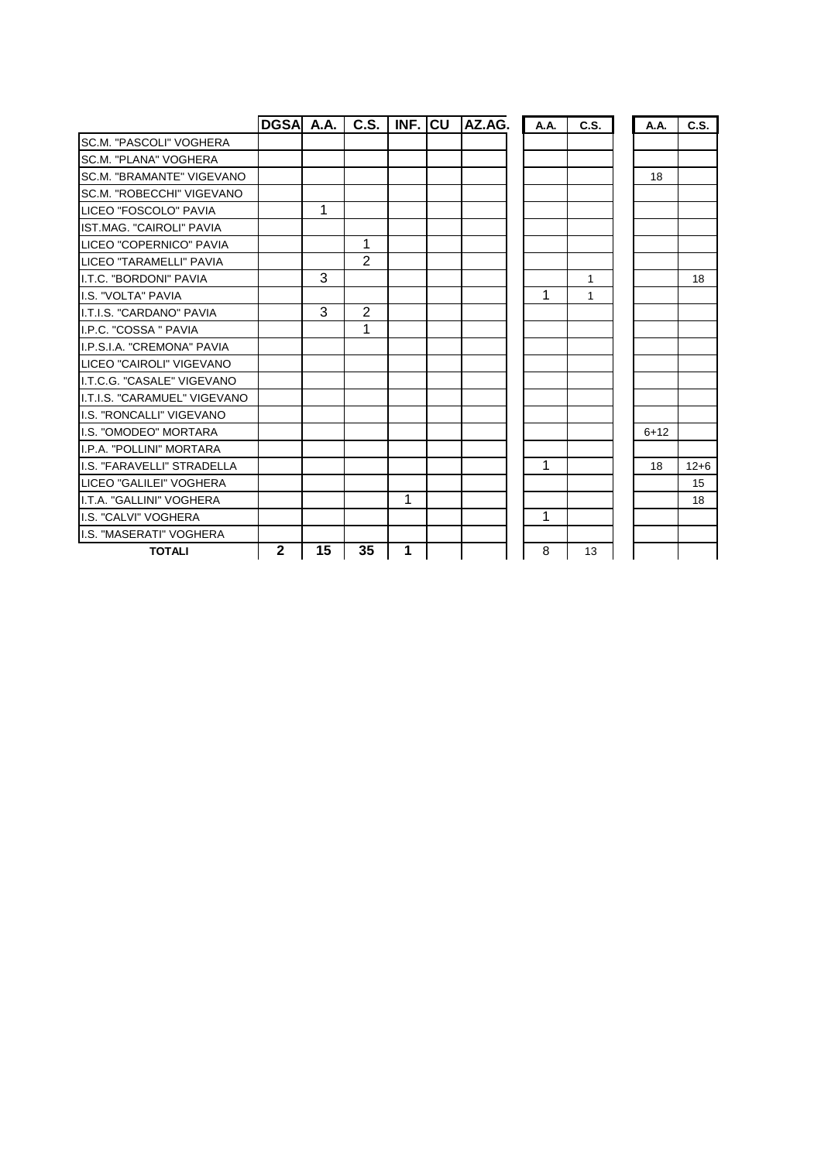|                               | DGSA A.A.    |    | C.S. | <b>INF. ICU</b> | AZ.AG. | A.A. | C.S. | A.A.   | C.S.     |
|-------------------------------|--------------|----|------|-----------------|--------|------|------|--------|----------|
| SC.M. "PASCOLI" VOGHERA       |              |    |      |                 |        |      |      |        |          |
| <b>SC.M. "PLANA" VOGHERA</b>  |              |    |      |                 |        |      |      |        |          |
| SC.M. "BRAMANTE" VIGEVANO     |              |    |      |                 |        |      |      | 18     |          |
| SC.M. "ROBECCHI" VIGEVANO     |              |    |      |                 |        |      |      |        |          |
| LICEO "FOSCOLO" PAVIA         |              | 1  |      |                 |        |      |      |        |          |
| IST.MAG. "CAIROLI" PAVIA      |              |    |      |                 |        |      |      |        |          |
| LICEO "COPERNICO" PAVIA       |              |    | 1    |                 |        |      |      |        |          |
| LICEO "TARAMELLI" PAVIA       |              |    | 2    |                 |        |      |      |        |          |
| II.T.C. "BORDONI" PAVIA       |              | 3  |      |                 |        |      | 1    |        | 18       |
| <b>I.S. "VOLTA" PAVIA</b>     |              |    |      |                 |        | 1    | 1    |        |          |
| II.T.I.S. "CARDANO" PAVIA     |              | 3  | 2    |                 |        |      |      |        |          |
| I.P.C. "COSSA " PAVIA         |              |    | 1    |                 |        |      |      |        |          |
| I.P.S.I.A. "CREMONA" PAVIA    |              |    |      |                 |        |      |      |        |          |
| LICEO "CAIROLI" VIGEVANO      |              |    |      |                 |        |      |      |        |          |
| I.T.C.G. "CASALE" VIGEVANO    |              |    |      |                 |        |      |      |        |          |
| II.T.I.S. "CARAMUEL" VIGEVANO |              |    |      |                 |        |      |      |        |          |
| I.S. "RONCALLI" VIGEVANO      |              |    |      |                 |        |      |      |        |          |
| I.S. "OMODEO" MORTARA         |              |    |      |                 |        |      |      | $6+12$ |          |
| I.P.A. "POLLINI" MORTARA      |              |    |      |                 |        |      |      |        |          |
| I.S. "FARAVELLI" STRADELLA    |              |    |      |                 |        | 1    |      | 18     | $12 + 6$ |
| LICEO "GALILEI" VOGHERA       |              |    |      |                 |        |      |      |        | 15       |
| I.T.A. "GALLINI" VOGHERA      |              |    |      | 1               |        |      |      |        | 18       |
| I.S. "CALVI" VOGHERA          |              |    |      |                 |        | 1    |      |        |          |
| I.S. "MASERATI" VOGHERA       |              |    |      |                 |        |      |      |        |          |
| <b>TOTALI</b>                 | $\mathbf{2}$ | 15 | 35   | 1               |        | 8    | 13   |        |          |